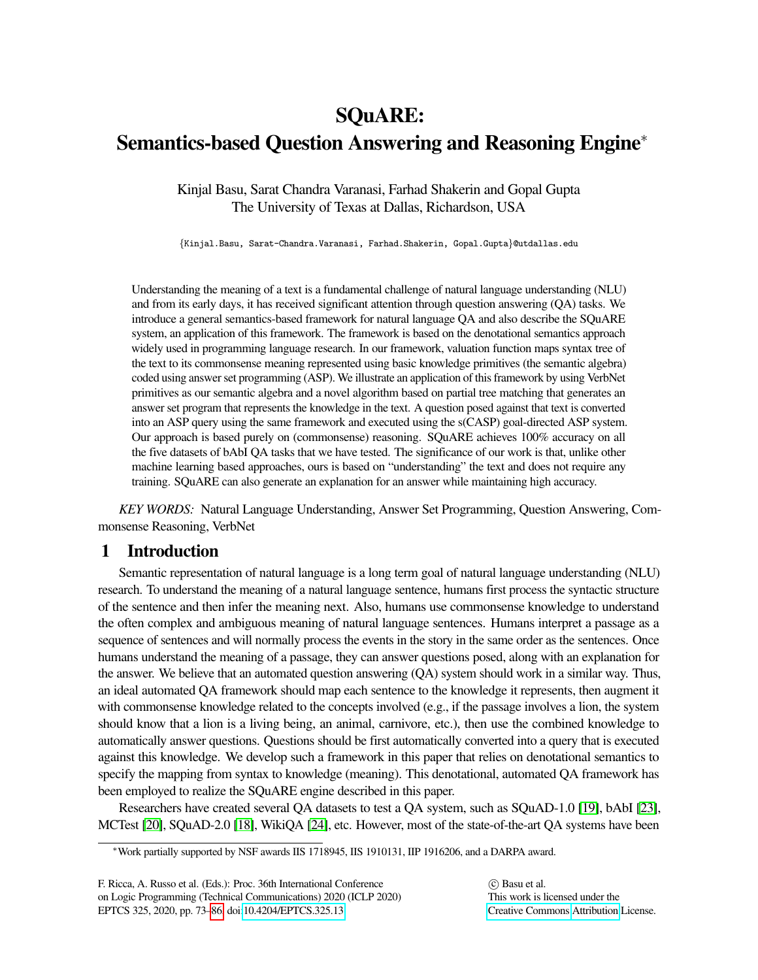# SQuARE: Semantics-based Question Answering and Reasoning Engine<sup>∗</sup>

Kinjal Basu, Sarat Chandra Varanasi, Farhad Shakerin and Gopal Gupta The University of Texas at Dallas, Richardson, USA

{Kinjal.Basu, Sarat-Chandra.Varanasi, Farhad.Shakerin, Gopal.Gupta}@utdallas.edu

Understanding the meaning of a text is a fundamental challenge of natural language understanding (NLU) and from its early days, it has received significant attention through question answering (QA) tasks. We introduce a general semantics-based framework for natural language QA and also describe the SQuARE system, an application of this framework. The framework is based on the denotational semantics approach widely used in programming language research. In our framework, valuation function maps syntax tree of the text to its commonsense meaning represented using basic knowledge primitives (the semantic algebra) coded using answer set programming (ASP). We illustrate an application of this framework by using VerbNet primitives as our semantic algebra and a novel algorithm based on partial tree matching that generates an answer set program that represents the knowledge in the text. A question posed against that text is converted into an ASP query using the same framework and executed using the s(CASP) goal-directed ASP system. Our approach is based purely on (commonsense) reasoning. SQuARE achieves 100% accuracy on all the five datasets of bAbI QA tasks that we have tested. The significance of our work is that, unlike other machine learning based approaches, ours is based on "understanding" the text and does not require any training. SQuARE can also generate an explanation for an answer while maintaining high accuracy.

*KEY WORDS:* Natural Language Understanding, Answer Set Programming, Question Answering, Commonsense Reasoning, VerbNet

# 1 Introduction

Semantic representation of natural language is a long term goal of natural language understanding (NLU) research. To understand the meaning of a natural language sentence, humans first process the syntactic structure of the sentence and then infer the meaning next. Also, humans use commonsense knowledge to understand the often complex and ambiguous meaning of natural language sentences. Humans interpret a passage as a sequence of sentences and will normally process the events in the story in the same order as the sentences. Once humans understand the meaning of a passage, they can answer questions posed, along with an explanation for the answer. We believe that an automated question answering (QA) system should work in a similar way. Thus, an ideal automated QA framework should map each sentence to the knowledge it represents, then augment it with commonsense knowledge related to the concepts involved (e.g., if the passage involves a lion, the system should know that a lion is a living being, an animal, carnivore, etc.), then use the combined knowledge to automatically answer questions. Questions should be first automatically converted into a query that is executed against this knowledge. We develop such a framework in this paper that relies on denotational semantics to specify the mapping from syntax to knowledge (meaning). This denotational, automated QA framework has been employed to realize the SQuARE engine described in this paper.

Researchers have created several QA datasets to test a QA system, such as SQuAD-1.0 [\[19\]](#page-13-1), bAbI [\[23\]](#page-13-2), MCTest [\[20\]](#page-13-3), SQuAD-2.0 [\[18\]](#page-13-4), WikiQA [\[24\]](#page-13-5), etc. However, most of the state-of-the-art QA systems have been

<sup>∗</sup>Work partially supported by NSF awards IIS 1718945, IIS 1910131, IIP 1916206, and a DARPA award.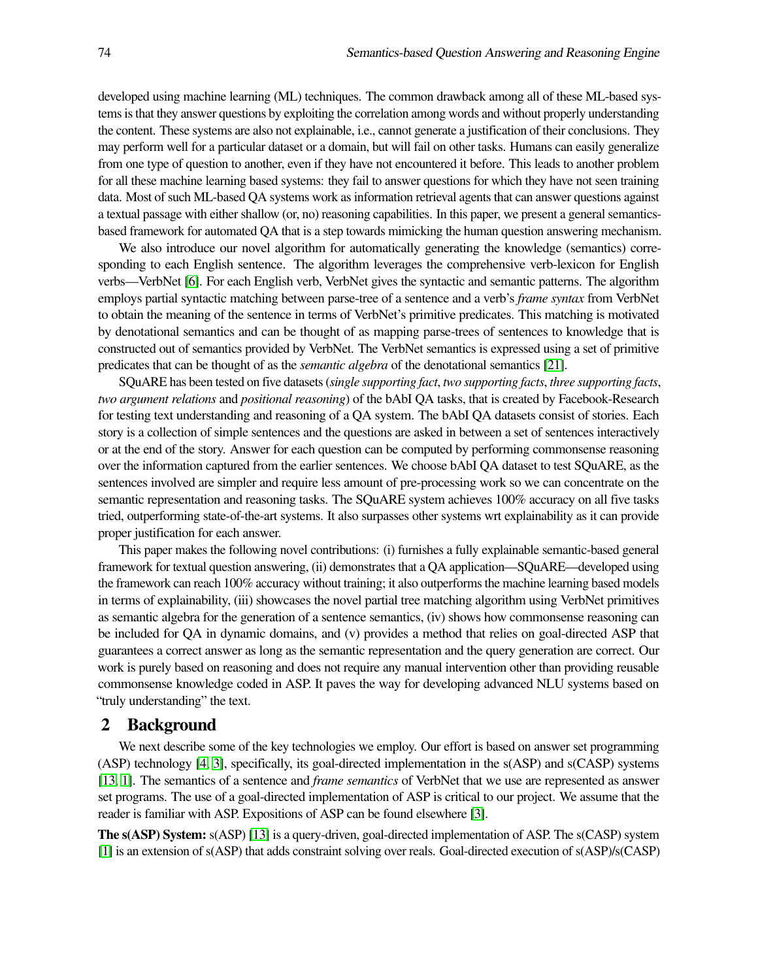developed using machine learning (ML) techniques. The common drawback among all of these ML-based systems is that they answer questions by exploiting the correlation among words and without properly understanding the content. These systems are also not explainable, i.e., cannot generate a justification of their conclusions. They may perform well for a particular dataset or a domain, but will fail on other tasks. Humans can easily generalize from one type of question to another, even if they have not encountered it before. This leads to another problem for all these machine learning based systems: they fail to answer questions for which they have not seen training data. Most of such ML-based QA systems work as information retrieval agents that can answer questions against a textual passage with either shallow (or, no) reasoning capabilities. In this paper, we present a general semanticsbased framework for automated QA that is a step towards mimicking the human question answering mechanism.

We also introduce our novel algorithm for automatically generating the knowledge (semantics) corresponding to each English sentence. The algorithm leverages the comprehensive verb-lexicon for English verbs—VerbNet [\[6\]](#page-12-0). For each English verb, VerbNet gives the syntactic and semantic patterns. The algorithm employs partial syntactic matching between parse-tree of a sentence and a verb's *frame syntax* from VerbNet to obtain the meaning of the sentence in terms of VerbNet's primitive predicates. This matching is motivated by denotational semantics and can be thought of as mapping parse-trees of sentences to knowledge that is constructed out of semantics provided by VerbNet. The VerbNet semantics is expressed using a set of primitive predicates that can be thought of as the *semantic algebra* of the denotational semantics [\[21\]](#page-13-6).

SQuARE has been tested on five datasets (*single supporting fact*, *two supporting facts*, *three supporting facts*, *two argument relations* and *positional reasoning*) of the bAbI QA tasks, that is created by Facebook-Research for testing text understanding and reasoning of a QA system. The bAbI QA datasets consist of stories. Each story is a collection of simple sentences and the questions are asked in between a set of sentences interactively or at the end of the story. Answer for each question can be computed by performing commonsense reasoning over the information captured from the earlier sentences. We choose bAbI QA dataset to test SQuARE, as the sentences involved are simpler and require less amount of pre-processing work so we can concentrate on the semantic representation and reasoning tasks. The SQuARE system achieves 100% accuracy on all five tasks tried, outperforming state-of-the-art systems. It also surpasses other systems wrt explainability as it can provide proper justification for each answer.

This paper makes the following novel contributions: (i) furnishes a fully explainable semantic-based general framework for textual question answering, (ii) demonstrates that a QA application—SQuARE—developed using the framework can reach 100% accuracy without training; it also outperforms the machine learning based models in terms of explainability, (iii) showcases the novel partial tree matching algorithm using VerbNet primitives as semantic algebra for the generation of a sentence semantics, (iv) shows how commonsense reasoning can be included for QA in dynamic domains, and (v) provides a method that relies on goal-directed ASP that guarantees a correct answer as long as the semantic representation and the query generation are correct. Our work is purely based on reasoning and does not require any manual intervention other than providing reusable commonsense knowledge coded in ASP. It paves the way for developing advanced NLU systems based on "truly understanding" the text.

#### <span id="page-1-0"></span>2 Background

We next describe some of the key technologies we employ. Our effort is based on answer set programming (ASP) technology [\[4,](#page-12-1) [3\]](#page-12-2), specifically, its goal-directed implementation in the s(ASP) and s(CASP) systems [\[13,](#page-13-7) [1\]](#page-12-3). The semantics of a sentence and *frame semantics* of VerbNet that we use are represented as answer set programs. The use of a goal-directed implementation of ASP is critical to our project. We assume that the reader is familiar with ASP. Expositions of ASP can be found elsewhere [\[3\]](#page-12-2).

The s(ASP) System: s(ASP) [\[13\]](#page-13-7) is a query-driven, goal-directed implementation of ASP. The s(CASP) system [\[1\]](#page-12-3) is an extension of s(ASP) that adds constraint solving over reals. Goal-directed execution of s(ASP)/s(CASP)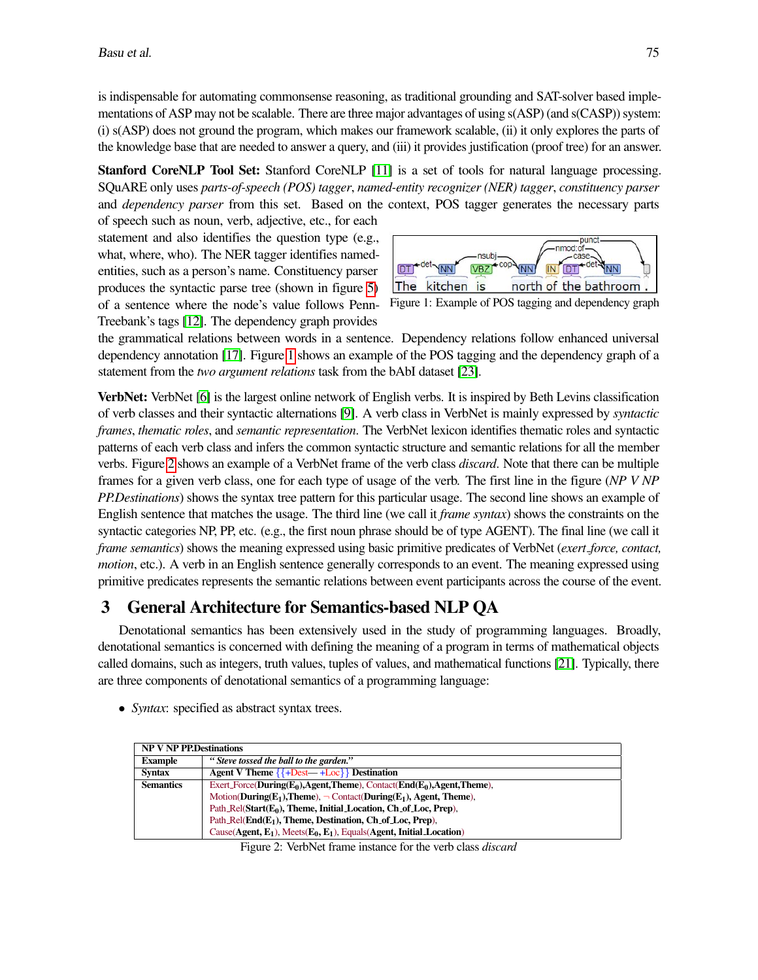is indispensable for automating commonsense reasoning, as traditional grounding and SAT-solver based implementations of ASP may not be scalable. There are three major advantages of using s(ASP) (and s(CASP)) system: (i) s(ASP) does not ground the program, which makes our framework scalable, (ii) it only explores the parts of the knowledge base that are needed to answer a query, and (iii) it provides justification (proof tree) for an answer.

Stanford CoreNLP Tool Set: Stanford CoreNLP [\[11\]](#page-13-8) is a set of tools for natural language processing. SQuARE only uses *parts-of-speech (POS) tagger*, *named-entity recognizer (NER) tagger*, *constituency parser* and *dependency parser* from this set. Based on the context, POS tagger generates the necessary parts

of speech such as noun, verb, adjective, etc., for each statement and also identifies the question type (e.g., what, where, who). The NER tagger identifies namedentities, such as a person's name. Constituency parser produces the syntactic parse tree (shown in figure [5\)](#page-5-0) of a sentence where the node's value follows Penn-Treebank's tags [\[12\]](#page-13-9). The dependency graph provides

<span id="page-2-0"></span>

the grammatical relations between words in a sentence. Dependency relations follow enhanced universal dependency annotation [\[17\]](#page-13-10). Figure [1](#page-2-0) shows an example of the POS tagging and the dependency graph of a statement from the *two argument relations* task from the bAbI dataset [\[23\]](#page-13-2).

VerbNet: VerbNet [\[6\]](#page-12-0) is the largest online network of English verbs. It is inspired by Beth Levins classification of verb classes and their syntactic alternations [\[9\]](#page-12-4). A verb class in VerbNet is mainly expressed by *syntactic frames*, *thematic roles*, and *semantic representation*. The VerbNet lexicon identifies thematic roles and syntactic patterns of each verb class and infers the common syntactic structure and semantic relations for all the member verbs. Figure [2](#page-2-1) shows an example of a VerbNet frame of the verb class *discard*. Note that there can be multiple frames for a given verb class, one for each type of usage of the verb. The first line in the figure (*NP V NP PP.Destinations*) shows the syntax tree pattern for this particular usage. The second line shows an example of English sentence that matches the usage. The third line (we call it *frame syntax*) shows the constraints on the syntactic categories NP, PP, etc. (e.g., the first noun phrase should be of type AGENT). The final line (we call it *frame semantics*) shows the meaning expressed using basic primitive predicates of VerbNet (*exert force, contact, motion*, etc.). A verb in an English sentence generally corresponds to an event. The meaning expressed using primitive predicates represents the semantic relations between event participants across the course of the event.

# 3 General Architecture for Semantics-based NLP QA

Denotational semantics has been extensively used in the study of programming languages. Broadly, denotational semantics is concerned with defining the meaning of a program in terms of mathematical objects called domains, such as integers, truth values, tuples of values, and mathematical functions [\[21\]](#page-13-6). Typically, there are three components of denotational semantics of a programming language:

- <span id="page-2-1"></span>NP V NP PP.Destinations Example *" Steve tossed the ball to the garden."* Syntax Agent V Theme  $\{\{\text{+Dest}\}\}\$  Destination Semantics Exert Force(During(E<sub>0</sub>),Agent,Theme), Contact(End(E<sub>0</sub>),Agent,Theme),  $Motion(During(E_1), Theme)$ ,  $\neg$  Contact(During(E<sub>1</sub>), Agent, Theme), Path\_Rel(Start(E<sub>0</sub>), Theme, Initial\_Location, Ch\_of\_Loc, Prep), Path\_Rel( $End(E_1)$ , Theme, Destination, Ch\_of\_Loc, Prep),  $Cause(Agent, E_1), Meets(E_0, E_1), Equals(Agent, Initial\_Location)$
- *Syntax*: specified as abstract syntax trees.

Figure 2: VerbNet frame instance for the verb class *discard*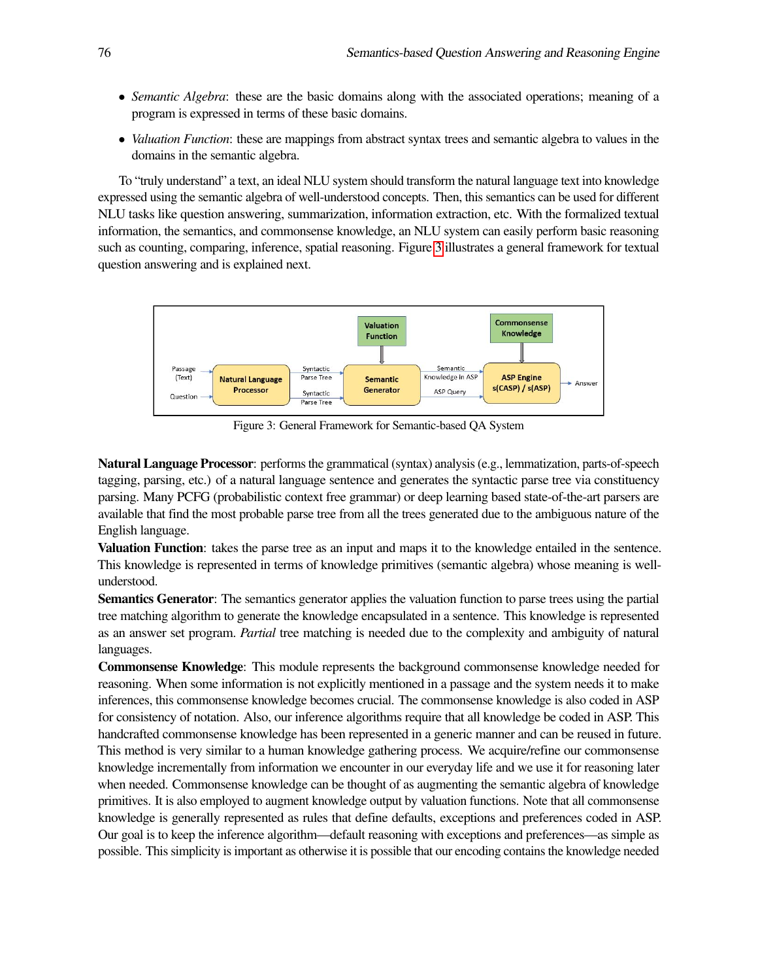- *Semantic Algebra*: these are the basic domains along with the associated operations; meaning of a program is expressed in terms of these basic domains.
- *Valuation Function*: these are mappings from abstract syntax trees and semantic algebra to values in the domains in the semantic algebra.

To "truly understand" a text, an ideal NLU system should transform the natural language text into knowledge expressed using the semantic algebra of well-understood concepts. Then, this semantics can be used for different NLU tasks like question answering, summarization, information extraction, etc. With the formalized textual information, the semantics, and commonsense knowledge, an NLU system can easily perform basic reasoning such as counting, comparing, inference, spatial reasoning. Figure [3](#page-3-0) illustrates a general framework for textual question answering and is explained next.

<span id="page-3-0"></span>

Figure 3: General Framework for Semantic-based QA System

Natural Language Processor: performs the grammatical (syntax) analysis (e.g., lemmatization, parts-of-speech tagging, parsing, etc.) of a natural language sentence and generates the syntactic parse tree via constituency parsing. Many PCFG (probabilistic context free grammar) or deep learning based state-of-the-art parsers are available that find the most probable parse tree from all the trees generated due to the ambiguous nature of the English language.

Valuation Function: takes the parse tree as an input and maps it to the knowledge entailed in the sentence. This knowledge is represented in terms of knowledge primitives (semantic algebra) whose meaning is wellunderstood.

Semantics Generator: The semantics generator applies the valuation function to parse trees using the partial tree matching algorithm to generate the knowledge encapsulated in a sentence. This knowledge is represented as an answer set program. *Partial* tree matching is needed due to the complexity and ambiguity of natural languages.

Commonsense Knowledge: This module represents the background commonsense knowledge needed for reasoning. When some information is not explicitly mentioned in a passage and the system needs it to make inferences, this commonsense knowledge becomes crucial. The commonsense knowledge is also coded in ASP for consistency of notation. Also, our inference algorithms require that all knowledge be coded in ASP. This handcrafted commonsense knowledge has been represented in a generic manner and can be reused in future. This method is very similar to a human knowledge gathering process. We acquire/refine our commonsense knowledge incrementally from information we encounter in our everyday life and we use it for reasoning later when needed. Commonsense knowledge can be thought of as augmenting the semantic algebra of knowledge primitives. It is also employed to augment knowledge output by valuation functions. Note that all commonsense knowledge is generally represented as rules that define defaults, exceptions and preferences coded in ASP. Our goal is to keep the inference algorithm—default reasoning with exceptions and preferences—as simple as possible. This simplicity is important as otherwise it is possible that our encoding contains the knowledge needed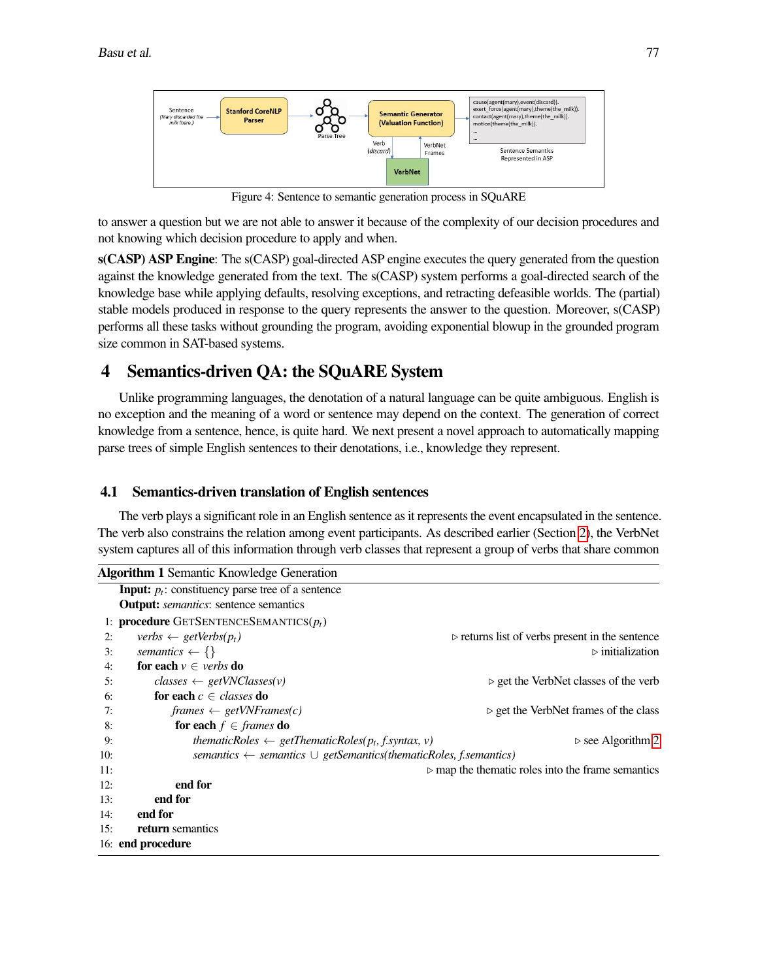<span id="page-4-0"></span>

Figure 4: Sentence to semantic generation process in SQuARE

to answer a question but we are not able to answer it because of the complexity of our decision procedures and not knowing which decision procedure to apply and when.

s(CASP) ASP Engine: The s(CASP) goal-directed ASP engine executes the query generated from the question against the knowledge generated from the text. The s(CASP) system performs a goal-directed search of the knowledge base while applying defaults, resolving exceptions, and retracting defeasible worlds. The (partial) stable models produced in response to the query represents the answer to the question. Moreover, s(CASP) performs all these tasks without grounding the program, avoiding exponential blowup in the grounded program size common in SAT-based systems.

# 4 Semantics-driven QA: the SQuARE System

Unlike programming languages, the denotation of a natural language can be quite ambiguous. English is no exception and the meaning of a word or sentence may depend on the context. The generation of correct knowledge from a sentence, hence, is quite hard. We next present a novel approach to automatically mapping parse trees of simple English sentences to their denotations, i.e., knowledge they represent.

### <span id="page-4-2"></span>4.1 Semantics-driven translation of English sentences

The verb plays a significant role in an English sentence as it represents the event encapsulated in the sentence. The verb also constrains the relation among event participants. As described earlier (Section [2\)](#page-1-0), the VerbNet system captures all of this information through verb classes that represent a group of verbs that share common

<span id="page-4-1"></span>

|     | <b>Algorithm 1 Semantic Knowledge Generation</b>                                 |                                                                  |
|-----|----------------------------------------------------------------------------------|------------------------------------------------------------------|
|     | <b>Input:</b> $p_t$ : constituency parse tree of a sentence                      |                                                                  |
|     | <b>Output:</b> <i>semantics</i> : sentence semantics                             |                                                                  |
|     | 1: <b>procedure</b> GETSENTENCESEMANTICS $(p_t)$                                 |                                                                  |
| 2:  | verbs $\leftarrow$ getVerbs( $p_t$ )                                             | $\triangleright$ returns list of verbs present in the sentence   |
| 3:  | semantics $\leftarrow \{\}$                                                      | $\triangleright$ initialization                                  |
| 4:  | <b>for each</b> $v \in \text{verbs}$ <b>do</b>                                   |                                                                  |
| 5:  | $classes \leftarrow getVNClasses(v)$                                             | $\triangleright$ get the VerbNet classes of the verb             |
| 6:  | for each $c \in \text{classes}$ do                                               |                                                                  |
| 7:  | $frames \leftarrow getVNFrames(c)$                                               | $\triangleright$ get the VerbNet frames of the class             |
| 8:  | for each $f \in \text{frames}$ do                                                |                                                                  |
| 9:  | thematicRoles $\leftarrow$ getThematicRoles( $p_t$ , f.syntax, v)                | $\triangleright$ see Algorithm 2                                 |
| 10: | semantics $\leftarrow$ semantics $\cup$ getSemantics(thematicRoles, f.semantics) |                                                                  |
| 11: |                                                                                  | $\triangleright$ map the thematic roles into the frame semantics |
| 12: | end for                                                                          |                                                                  |
| 13: | end for                                                                          |                                                                  |
| 14: | end for                                                                          |                                                                  |
| 15: | return semantics                                                                 |                                                                  |
|     | 16: end procedure                                                                |                                                                  |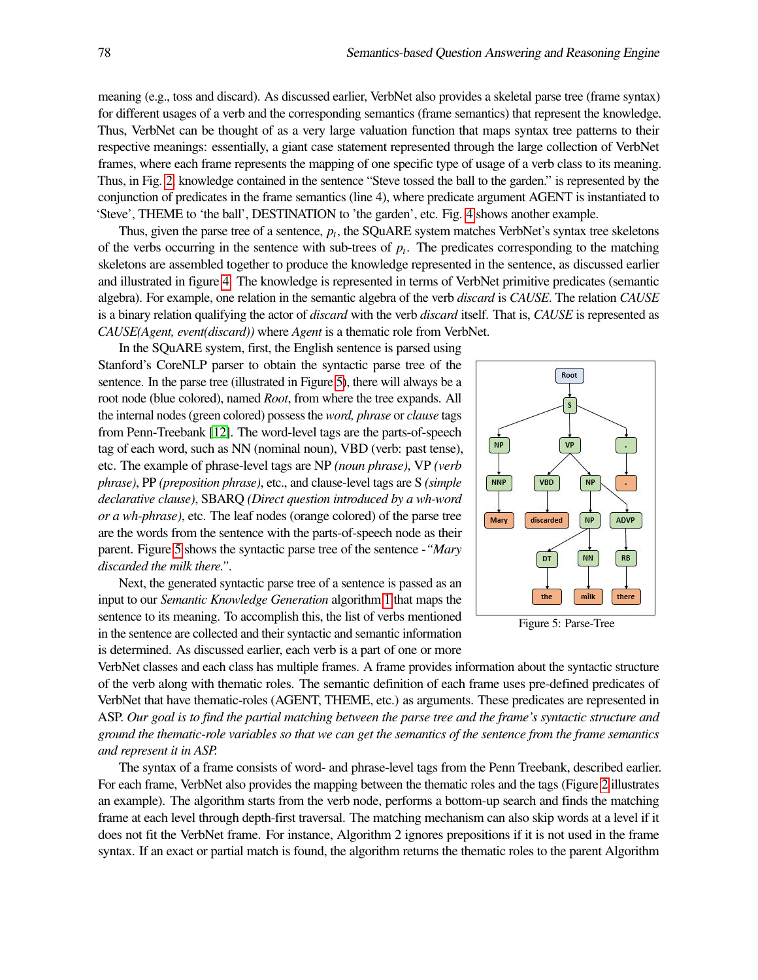meaning (e.g., toss and discard). As discussed earlier, VerbNet also provides a skeletal parse tree (frame syntax) for different usages of a verb and the corresponding semantics (frame semantics) that represent the knowledge. Thus, VerbNet can be thought of as a very large valuation function that maps syntax tree patterns to their respective meanings: essentially, a giant case statement represented through the large collection of VerbNet frames, where each frame represents the mapping of one specific type of usage of a verb class to its meaning. Thus, in Fig. [2,](#page-2-1) knowledge contained in the sentence "Steve tossed the ball to the garden." is represented by the conjunction of predicates in the frame semantics (line 4), where predicate argument AGENT is instantiated to 'Steve', THEME to 'the ball', DESTINATION to 'the garden', etc. Fig. [4](#page-4-0) shows another example.

Thus, given the parse tree of a sentence, *p<sup>t</sup>* , the SQuARE system matches VerbNet's syntax tree skeletons of the verbs occurring in the sentence with sub-trees of  $p_t$ . The predicates corresponding to the matching skeletons are assembled together to produce the knowledge represented in the sentence, as discussed earlier and illustrated in figure [4.](#page-4-0) The knowledge is represented in terms of VerbNet primitive predicates (semantic algebra). For example, one relation in the semantic algebra of the verb *discard* is *CAUSE*. The relation *CAUSE* is a binary relation qualifying the actor of *discard* with the verb *discard* itself. That is, *CAUSE* is represented as *CAUSE(Agent, event(discard))* where *Agent* is a thematic role from VerbNet.

In the SQuARE system, first, the English sentence is parsed using Stanford's CoreNLP parser to obtain the syntactic parse tree of the sentence. In the parse tree (illustrated in Figure [5\)](#page-5-0), there will always be a root node (blue colored), named *Root*, from where the tree expands. All the internal nodes (green colored) possess the *word, phrase* or *clause* tags from Penn-Treebank [\[12\]](#page-13-9). The word-level tags are the parts-of-speech tag of each word, such as NN (nominal noun), VBD (verb: past tense), etc. The example of phrase-level tags are NP *(noun phrase)*, VP *(verb phrase)*, PP *(preposition phrase)*, etc., and clause-level tags are S *(simple declarative clause)*, SBARQ *(Direct question introduced by a wh-word or a wh-phrase)*, etc. The leaf nodes (orange colored) of the parse tree are the words from the sentence with the parts-of-speech node as their parent. Figure [5](#page-5-0) shows the syntactic parse tree of the sentence -*"Mary discarded the milk there."*.

Next, the generated syntactic parse tree of a sentence is passed as an input to our *Semantic Knowledge Generation* algorithm [1](#page-4-1) that maps the sentence to its meaning. To accomplish this, the list of verbs mentioned in the sentence are collected and their syntactic and semantic information is determined. As discussed earlier, each verb is a part of one or more

<span id="page-5-0"></span>

Figure 5: Parse-Tree

VerbNet classes and each class has multiple frames. A frame provides information about the syntactic structure of the verb along with thematic roles. The semantic definition of each frame uses pre-defined predicates of VerbNet that have thematic-roles (AGENT, THEME, etc.) as arguments. These predicates are represented in ASP. *Our goal is to find the partial matching between the parse tree and the frame's syntactic structure and ground the thematic-role variables so that we can get the semantics of the sentence from the frame semantics and represent it in ASP.*

The syntax of a frame consists of word- and phrase-level tags from the Penn Treebank, described earlier. For each frame, VerbNet also provides the mapping between the thematic roles and the tags (Figure [2](#page-2-1) illustrates an example). The algorithm starts from the verb node, performs a bottom-up search and finds the matching frame at each level through depth-first traversal. The matching mechanism can also skip words at a level if it does not fit the VerbNet frame. For instance, Algorithm 2 ignores prepositions if it is not used in the frame syntax. If an exact or partial match is found, the algorithm returns the thematic roles to the parent Algorithm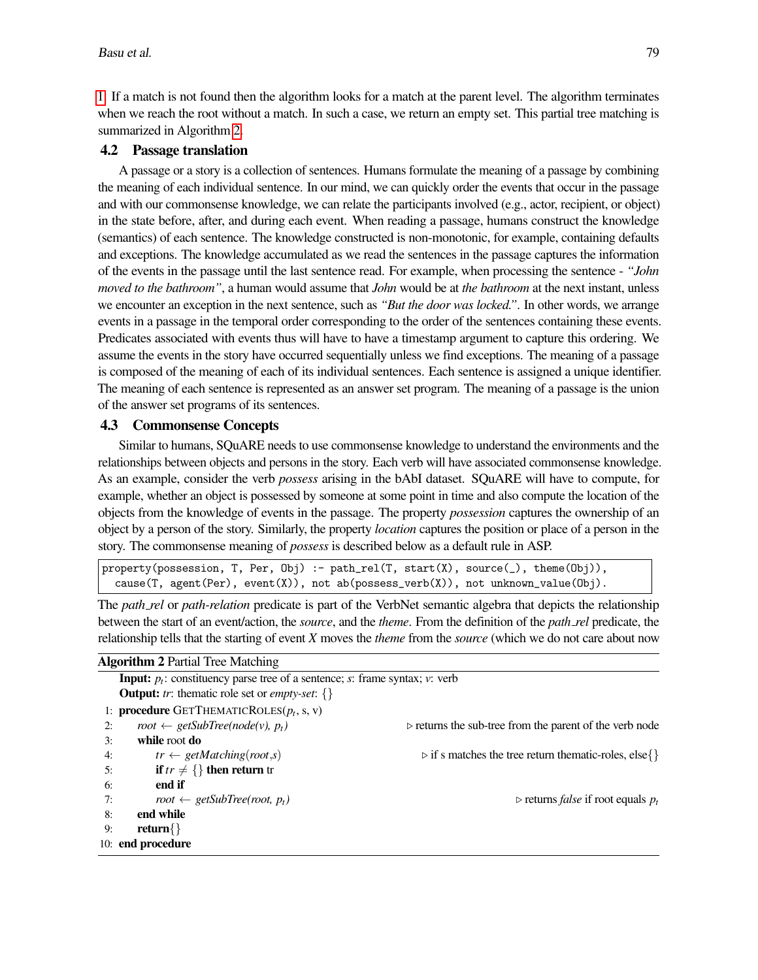[1.](#page-4-1) If a match is not found then the algorithm looks for a match at the parent level. The algorithm terminates when we reach the root without a match. In such a case, we return an empty set. This partial tree matching is summarized in Algorithm [2.](#page-6-0)

# 4.2 Passage translation

A passage or a story is a collection of sentences. Humans formulate the meaning of a passage by combining the meaning of each individual sentence. In our mind, we can quickly order the events that occur in the passage and with our commonsense knowledge, we can relate the participants involved (e.g., actor, recipient, or object) in the state before, after, and during each event. When reading a passage, humans construct the knowledge (semantics) of each sentence. The knowledge constructed is non-monotonic, for example, containing defaults and exceptions. The knowledge accumulated as we read the sentences in the passage captures the information of the events in the passage until the last sentence read. For example, when processing the sentence - *"John moved to the bathroom"*, a human would assume that *John* would be at *the bathroom* at the next instant, unless we encounter an exception in the next sentence, such as *"But the door was locked."*. In other words, we arrange events in a passage in the temporal order corresponding to the order of the sentences containing these events. Predicates associated with events thus will have to have a timestamp argument to capture this ordering. We assume the events in the story have occurred sequentially unless we find exceptions. The meaning of a passage is composed of the meaning of each of its individual sentences. Each sentence is assigned a unique identifier. The meaning of each sentence is represented as an answer set program. The meaning of a passage is the union of the answer set programs of its sentences.

### 4.3 Commonsense Concepts

Similar to humans, SQuARE needs to use commonsense knowledge to understand the environments and the relationships between objects and persons in the story. Each verb will have associated commonsense knowledge. As an example, consider the verb *possess* arising in the bAbI dataset. SQuARE will have to compute, for example, whether an object is possessed by someone at some point in time and also compute the location of the objects from the knowledge of events in the passage. The property *possession* captures the ownership of an object by a person of the story. Similarly, the property *location* captures the position or place of a person in the story. The commonsense meaning of *possess* is described below as a default rule in ASP.

```
property(possession, T, Per, Obj) :- path_rel(T, start(X), source(_), theme(Obj)),
  cause(T, agent(Per), event(X)), not ab(possess_verb(X)), not unknown_value(Obj).
```
The *path rel* or *path-relation* predicate is part of the VerbNet semantic algebra that depicts the relationship between the start of an event/action, the *source*, and the *theme*. From the definition of the *path rel* predicate, the relationship tells that the starting of event *X* moves the *theme* from the *source* (which we do not care about now

#### <span id="page-6-0"></span>Algorithm 2 Partial Tree Matching

| <b>Input:</b> $p_t$ : constituency parse tree of a sentence; s: frame syntax; v: verb |                                                                                                  |
|---------------------------------------------------------------------------------------|--------------------------------------------------------------------------------------------------|
| <b>Output:</b> tr: thematic role set or <i>empty-set</i> : $\{\}$                     |                                                                                                  |
|                                                                                       |                                                                                                  |
| root $\leftarrow$ getSubTree(node(v), $p_t$ )                                         | $\triangleright$ returns the sub-tree from the parent of the verb node                           |
| while root do                                                                         |                                                                                                  |
| $tr \leftarrow getMatching(root,s)$                                                   | $\triangleright$ if s matches the tree return thematic-roles, else $\{\}$                        |
| <b>if</b> $tr \neq \{\}$ then return tr                                               |                                                                                                  |
| end if                                                                                |                                                                                                  |
| root $\leftarrow$ getSubTree(root, $p_t$ )                                            | $\triangleright$ returns <i>false</i> if root equals $p_t$                                       |
| end while                                                                             |                                                                                                  |
| return $\{\}$                                                                         |                                                                                                  |
|                                                                                       |                                                                                                  |
| 2:<br>6:<br>8:<br>9:                                                                  | 1: <b>procedure</b> GETTHEMATICROLES( $p_t$ , s, v)<br>3:<br>4:<br>5:<br>7:<br>10: end procedure |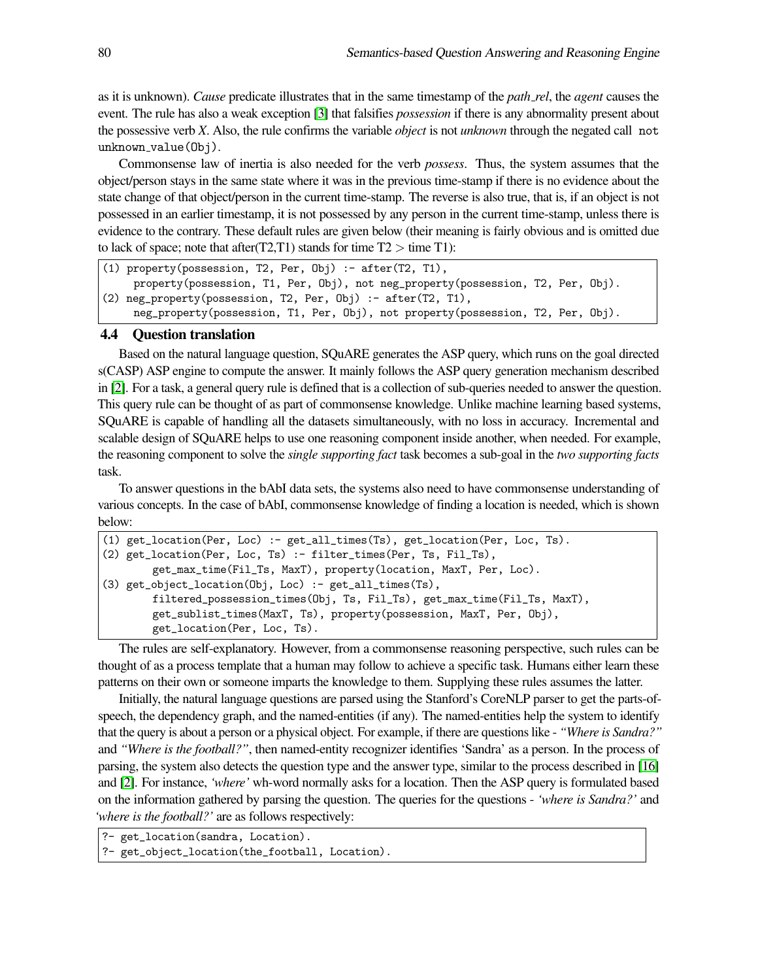as it is unknown). *Cause* predicate illustrates that in the same timestamp of the *path rel*, the *agent* causes the event. The rule has also a weak exception [\[3\]](#page-12-2) that falsifies *possession* if there is any abnormality present about the possessive verb *X*. Also, the rule confirms the variable *object* is not *unknown* through the negated call not unknown\_value(Obj).

Commonsense law of inertia is also needed for the verb *possess*. Thus, the system assumes that the object/person stays in the same state where it was in the previous time-stamp if there is no evidence about the state change of that object/person in the current time-stamp. The reverse is also true, that is, if an object is not possessed in an earlier timestamp, it is not possessed by any person in the current time-stamp, unless there is evidence to the contrary. These default rules are given below (their meaning is fairly obvious and is omitted due to lack of space; note that after  $(T2, T1)$  stands for time  $T2 >$  time T1):

```
(1) property(possession, T2, Per, Obj) :- after(T2, T1),
     property(possession, T1, Per, Obj), not neg_property(possession, T2, Per, Obj).
(2) neg_property(possession, T2, Per, Obj) :- after(T2, T1),
     neg_property(possession, T1, Per, Obj), not property(possession, T2, Per, Obj).
```
#### 4.4 Question translation

Based on the natural language question, SQuARE generates the ASP query, which runs on the goal directed s(CASP) ASP engine to compute the answer. It mainly follows the ASP query generation mechanism described in [\[2\]](#page-12-5). For a task, a general query rule is defined that is a collection of sub-queries needed to answer the question. This query rule can be thought of as part of commonsense knowledge. Unlike machine learning based systems, SQuARE is capable of handling all the datasets simultaneously, with no loss in accuracy. Incremental and scalable design of SQuARE helps to use one reasoning component inside another, when needed. For example, the reasoning component to solve the *single supporting fact* task becomes a sub-goal in the *two supporting facts* task.

To answer questions in the bAbI data sets, the systems also need to have commonsense understanding of various concepts. In the case of bAbI, commonsense knowledge of finding a location is needed, which is shown below:

```
(1) get_location(Per, Loc) :- get_all_times(Ts), get_location(Per, Loc, Ts).
(2) get_location(Per, Loc, Ts) :- filter_times(Per, Ts, Fil_Ts),
        get_max_time(Fil_Ts, MaxT), property(location, MaxT, Per, Loc).
(3) get_object_location(Obj, Loc) :- get_all_times(Ts),
        filtered_possession_times(Obj, Ts, Fil_Ts), get_max_time(Fil_Ts, MaxT),
        get_sublist_times(MaxT, Ts), property(possession, MaxT, Per, Obj),
        get_location(Per, Loc, Ts).
```
The rules are self-explanatory. However, from a commonsense reasoning perspective, such rules can be thought of as a process template that a human may follow to achieve a specific task. Humans either learn these patterns on their own or someone imparts the knowledge to them. Supplying these rules assumes the latter.

Initially, the natural language questions are parsed using the Stanford's CoreNLP parser to get the parts-ofspeech, the dependency graph, and the named-entities (if any). The named-entities help the system to identify that the query is about a person or a physical object. For example, if there are questions like - *"Where is Sandra?"* and *"Where is the football?"*, then named-entity recognizer identifies 'Sandra' as a person. In the process of parsing, the system also detects the question type and the answer type, similar to the process described in [\[16\]](#page-13-11) and [\[2\]](#page-12-5). For instance, *'where'* wh-word normally asks for a location. Then the ASP query is formulated based on the information gathered by parsing the question. The queries for the questions - *'where is Sandra?'* and *'where is the football?'* are as follows respectively:

```
?- get_location(sandra, Location).
```

```
?- get_object_location(the_football, Location).
```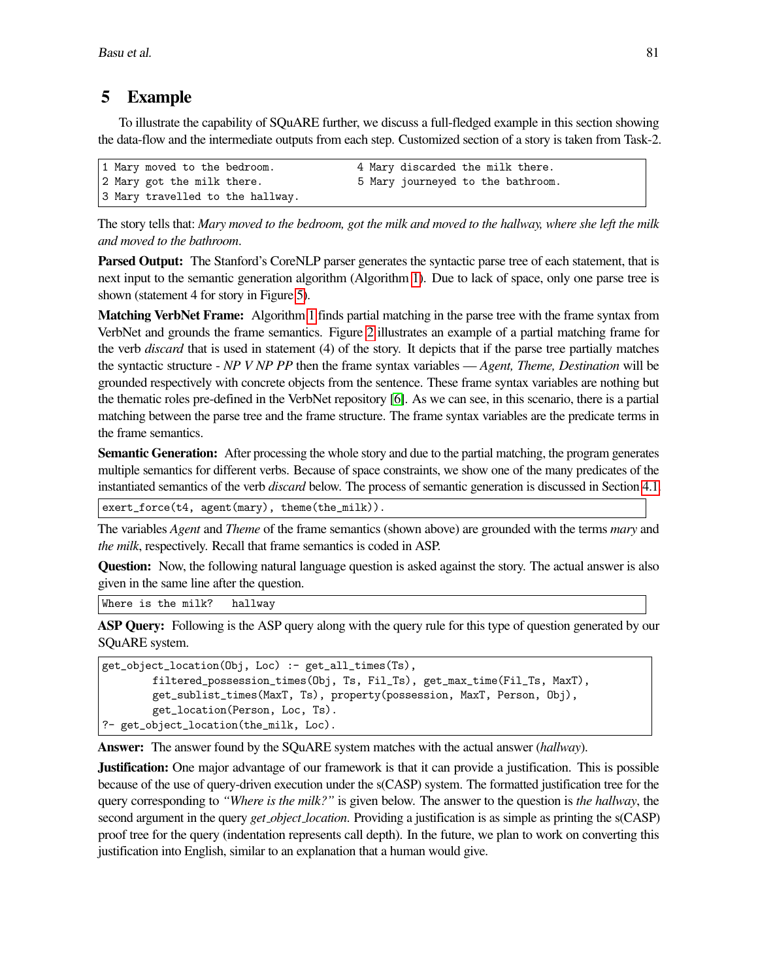# 5 Example

To illustrate the capability of SQuARE further, we discuss a full-fledged example in this section showing the data-flow and the intermediate outputs from each step. Customized section of a story is taken from Task-2.

```
1 Mary moved to the bedroom. 4 Mary discarded the milk there.
2 Mary got the milk there. 5 Mary journeyed to the bathroom.
3 Mary travelled to the hallway.
```
The story tells that: *Mary moved to the bedroom, got the milk and moved to the hallway, where she left the milk and moved to the bathroom*.

Parsed Output: The Stanford's CoreNLP parser generates the syntactic parse tree of each statement, that is next input to the semantic generation algorithm (Algorithm [1\)](#page-4-1). Due to lack of space, only one parse tree is shown (statement 4 for story in Figure [5\)](#page-5-0).

Matching VerbNet Frame: Algorithm [1](#page-4-1) finds partial matching in the parse tree with the frame syntax from VerbNet and grounds the frame semantics. Figure [2](#page-2-1) illustrates an example of a partial matching frame for the verb *discard* that is used in statement (4) of the story. It depicts that if the parse tree partially matches the syntactic structure - *NP V NP PP* then the frame syntax variables — *Agent, Theme, Destination* will be grounded respectively with concrete objects from the sentence. These frame syntax variables are nothing but the thematic roles pre-defined in the VerbNet repository [\[6\]](#page-12-0). As we can see, in this scenario, there is a partial matching between the parse tree and the frame structure. The frame syntax variables are the predicate terms in the frame semantics.

Semantic Generation: After processing the whole story and due to the partial matching, the program generates multiple semantics for different verbs. Because of space constraints, we show one of the many predicates of the instantiated semantics of the verb *discard* below. The process of semantic generation is discussed in Section [4.1.](#page-4-2)

exert\_force(t4, agent(mary), theme(the\_milk)).

The variables *Agent* and *Theme* of the frame semantics (shown above) are grounded with the terms *mary* and *the milk*, respectively. Recall that frame semantics is coded in ASP.

Question: Now, the following natural language question is asked against the story. The actual answer is also given in the same line after the question.

Where is the milk? hallway

ASP Query: Following is the ASP query along with the query rule for this type of question generated by our SQuARE system.

```
get_object_location(Obj, Loc) :- get_all_times(Ts),
        filtered_possession_times(Obj, Ts, Fil_Ts), get_max_time(Fil_Ts, MaxT),
        get_sublist_times(MaxT, Ts), property(possession, MaxT, Person, Obj),
        get_location(Person, Loc, Ts).
?- get_object_location(the_milk, Loc).
```
Answer: The answer found by the SQuARE system matches with the actual answer (*hallway*).

Justification: One major advantage of our framework is that it can provide a justification. This is possible because of the use of query-driven execution under the s(CASP) system. The formatted justification tree for the query corresponding to *"Where is the milk?"* is given below. The answer to the question is *the hallway*, the second argument in the query *get object location*. Providing a justification is as simple as printing the s(CASP) proof tree for the query (indentation represents call depth). In the future, we plan to work on converting this justification into English, similar to an explanation that a human would give.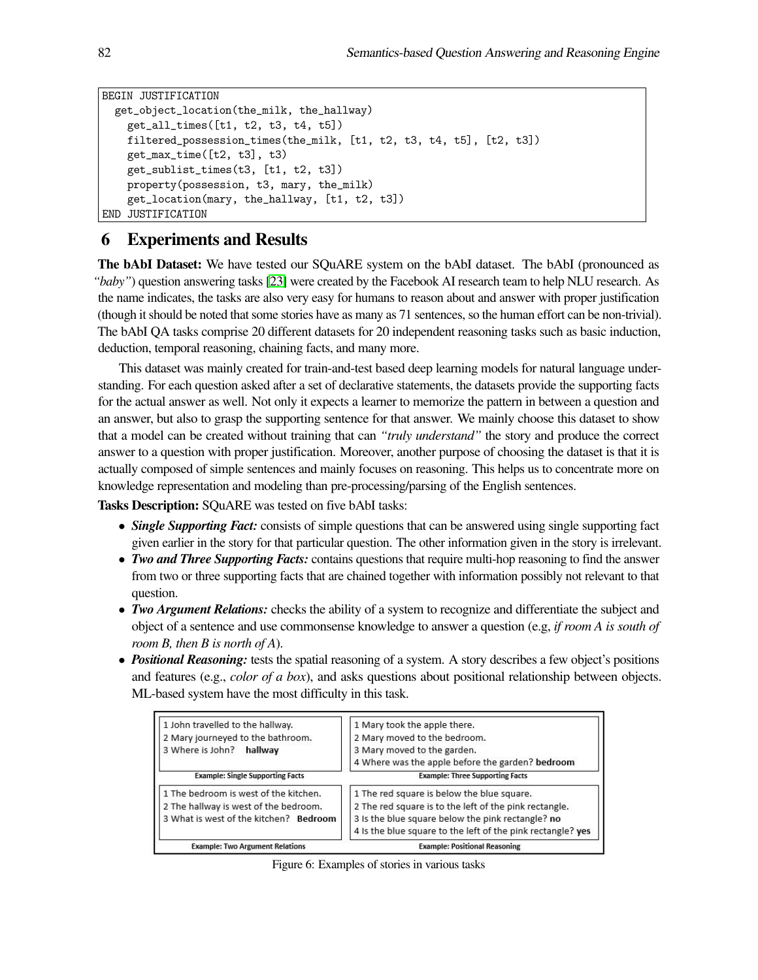```
BEGIN JUSTIFICATION
  get_object_location(the_milk, the_hallway)
    get_all_times([t1, t2, t3, t4, t5])
    filtered_possession_times(the_milk, [t1, t2, t3, t4, t5], [t2, t3])
    get_max_time([t2, t3], t3)
    get_sublist_times(t3, [t1, t2, t3])
    property(possession, t3, mary, the_milk)
    get_location(mary, the_hallway, [t1, t2, t3])
END JUSTIFICATION
```
# 6 Experiments and Results

The bAbI Dataset: We have tested our SQuARE system on the bAbI dataset. The bAbI (pronounced as *"baby"*) question answering tasks [\[23\]](#page-13-2) were created by the Facebook AI research team to help NLU research. As the name indicates, the tasks are also very easy for humans to reason about and answer with proper justification (though it should be noted that some stories have as many as 71 sentences, so the human effort can be non-trivial). The bAbI QA tasks comprise 20 different datasets for 20 independent reasoning tasks such as basic induction, deduction, temporal reasoning, chaining facts, and many more.

This dataset was mainly created for train-and-test based deep learning models for natural language understanding. For each question asked after a set of declarative statements, the datasets provide the supporting facts for the actual answer as well. Not only it expects a learner to memorize the pattern in between a question and an answer, but also to grasp the supporting sentence for that answer. We mainly choose this dataset to show that a model can be created without training that can *"truly understand"* the story and produce the correct answer to a question with proper justification. Moreover, another purpose of choosing the dataset is that it is actually composed of simple sentences and mainly focuses on reasoning. This helps us to concentrate more on knowledge representation and modeling than pre-processing/parsing of the English sentences.

Tasks Description: SQuARE was tested on five bAbI tasks:

- *Single Supporting Fact:* consists of simple questions that can be answered using single supporting fact given earlier in the story for that particular question. The other information given in the story is irrelevant.
- *Two and Three Supporting Facts:* contains questions that require multi-hop reasoning to find the answer from two or three supporting facts that are chained together with information possibly not relevant to that question.
- *Two Argument Relations:* checks the ability of a system to recognize and differentiate the subject and object of a sentence and use commonsense knowledge to answer a question (e.g, *if room A is south of room B, then B is north of A*).
- <span id="page-9-0"></span>• *Positional Reasoning:* tests the spatial reasoning of a system. A story describes a few object's positions and features (e.g., *color of a box*), and asks questions about positional relationship between objects. ML-based system have the most difficulty in this task.

| 1 John travelled to the hallway.<br>2 Mary journeyed to the bathroom.<br>3 Where is John? hallway                        | 1 Mary took the apple there.<br>2 Mary moved to the bedroom.<br>3 Mary moved to the garden.<br>4 Where was the apple before the garden? bedroom                                                                          |  |  |
|--------------------------------------------------------------------------------------------------------------------------|--------------------------------------------------------------------------------------------------------------------------------------------------------------------------------------------------------------------------|--|--|
| <b>Example: Single Supporting Facts</b>                                                                                  | <b>Example: Three Supporting Facts</b>                                                                                                                                                                                   |  |  |
| 1 The bedroom is west of the kitchen.<br>2 The hallway is west of the bedroom.<br>3 What is west of the kitchen? Bedroom | 1 The red square is below the blue square.<br>2 The red square is to the left of the pink rectangle.<br>3 Is the blue square below the pink rectangle? no<br>4 Is the blue square to the left of the pink rectangle? yes |  |  |
| <b>Example: Two Argument Relations</b>                                                                                   | <b>Example: Positional Reasoning</b>                                                                                                                                                                                     |  |  |

Figure 6: Examples of stories in various tasks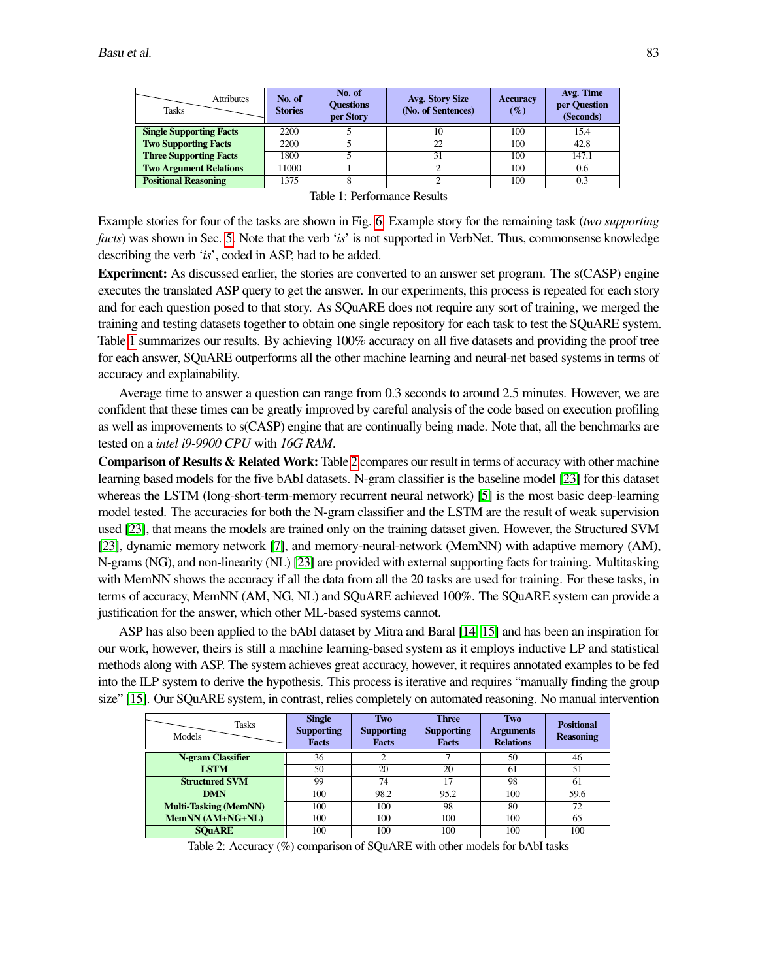<span id="page-10-0"></span>

| <b>Attributes</b><br><b>Tasks</b> | No. of<br><b>Stories</b> | No. of<br><b>Ouestions</b><br>per Story | Avg. Story Size<br>(No. of Sentences) | <b>Accuracy</b><br>$(\%)$ | Avg. Time<br>per Question<br>(Seconds) |
|-----------------------------------|--------------------------|-----------------------------------------|---------------------------------------|---------------------------|----------------------------------------|
| <b>Single Supporting Facts</b>    | 2200                     |                                         | 10                                    | 100                       | 15.4                                   |
| <b>Two Supporting Facts</b>       | 2200                     |                                         | 22                                    | 100                       | 42.8                                   |
| <b>Three Supporting Facts</b>     | 1800                     |                                         | 31                                    | 100                       | 147.1                                  |
| <b>Two Argument Relations</b>     | 11000                    |                                         |                                       | 100                       | 0.6                                    |
| <b>Positional Reasoning</b>       | 1375                     |                                         |                                       | 100                       | 0.3                                    |

Table 1: Performance Results

Example stories for four of the tasks are shown in Fig. [6.](#page-9-0) Example story for the remaining task (*two supporting facts*) was shown in Sec. [5.](#page-7-0) Note that the verb '*is*' is not supported in VerbNet. Thus, commonsense knowledge describing the verb '*is*', coded in ASP, had to be added.

Experiment: As discussed earlier, the stories are converted to an answer set program. The s(CASP) engine executes the translated ASP query to get the answer. In our experiments, this process is repeated for each story and for each question posed to that story. As SQuARE does not require any sort of training, we merged the training and testing datasets together to obtain one single repository for each task to test the SQuARE system. Table [1](#page-10-0) summarizes our results. By achieving 100% accuracy on all five datasets and providing the proof tree for each answer, SQuARE outperforms all the other machine learning and neural-net based systems in terms of accuracy and explainability.

Average time to answer a question can range from 0.3 seconds to around 2.5 minutes. However, we are confident that these times can be greatly improved by careful analysis of the code based on execution profiling as well as improvements to s(CASP) engine that are continually being made. Note that, all the benchmarks are tested on a *intel i9-9900 CPU* with *16G RAM*.

Comparison of Results & Related Work: Table [2](#page-10-1) compares our result in terms of accuracy with other machine learning based models for the five bAbI datasets. N-gram classifier is the baseline model [\[23\]](#page-13-2) for this dataset whereas the LSTM (long-short-term-memory recurrent neural network) [\[5\]](#page-12-6) is the most basic deep-learning model tested. The accuracies for both the N-gram classifier and the LSTM are the result of weak supervision used [\[23\]](#page-13-2), that means the models are trained only on the training dataset given. However, the Structured SVM [\[23\]](#page-13-2), dynamic memory network [\[7\]](#page-12-7), and memory-neural-network (MemNN) with adaptive memory (AM), N-grams (NG), and non-linearity (NL) [\[23\]](#page-13-2) are provided with external supporting facts for training. Multitasking with MemNN shows the accuracy if all the data from all the 20 tasks are used for training. For these tasks, in terms of accuracy, MemNN (AM, NG, NL) and SQuARE achieved 100%. The SQuARE system can provide a justification for the answer, which other ML-based systems cannot.

ASP has also been applied to the bAbI dataset by Mitra and Baral [\[14,](#page-13-12) [15\]](#page-13-13) and has been an inspiration for our work, however, theirs is still a machine learning-based system as it employs inductive LP and statistical methods along with ASP. The system achieves great accuracy, however, it requires annotated examples to be fed into the ILP system to derive the hypothesis. This process is iterative and requires "manually finding the group size" [\[15\]](#page-13-13). Our SQuARE system, in contrast, relies completely on automated reasoning. No manual intervention

<span id="page-10-1"></span>

| <b>Tasks</b><br>Models       | <b>Single</b><br><b>Supporting</b><br><b>Facts</b> | Two<br><b>Supporting</b><br><b>Facts</b> | <b>Three</b><br><b>Supporting</b><br><b>Facts</b> | Two<br><b>Arguments</b><br><b>Relations</b> | <b>Positional</b><br><b>Reasoning</b> |
|------------------------------|----------------------------------------------------|------------------------------------------|---------------------------------------------------|---------------------------------------------|---------------------------------------|
| N-gram Classifier            | 36                                                 | ∍                                        | ⇁                                                 | 50                                          | 46                                    |
| <b>LSTM</b>                  | 50                                                 | 20                                       | 20                                                | 61                                          | 51                                    |
| <b>Structured SVM</b>        | 99                                                 | 74                                       |                                                   | 98                                          | 61                                    |
| <b>DMN</b>                   | 100                                                | 98.2                                     | 95.2                                              | 100                                         | 59.6                                  |
| <b>Multi-Tasking (MemNN)</b> | 100                                                | 100                                      | 98                                                | 80                                          | 72                                    |
| MemNN (AM+NG+NL)             | 100                                                | 100                                      | 100                                               | 100                                         | 65                                    |
| <b>SOUARE</b>                | 100                                                | 100                                      | 100                                               | 100                                         | 100                                   |

Table 2: Accuracy (%) comparison of SQuARE with other models for bAbI tasks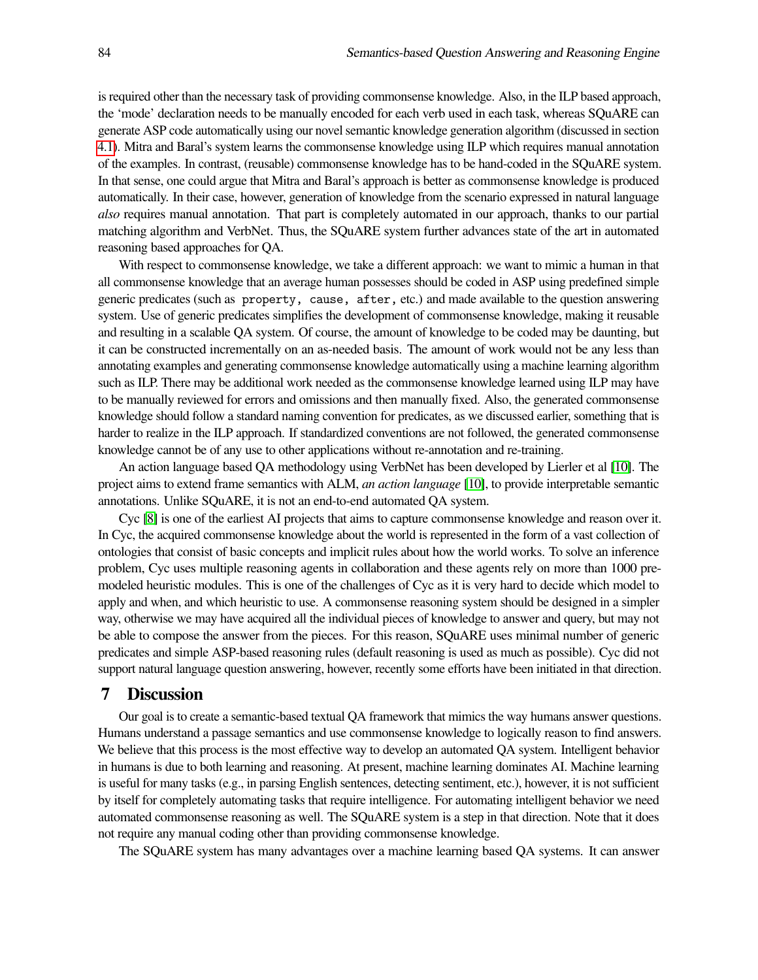is required other than the necessary task of providing commonsense knowledge. Also, in the ILP based approach, the 'mode' declaration needs to be manually encoded for each verb used in each task, whereas SQuARE can generate ASP code automatically using our novel semantic knowledge generation algorithm (discussed in section [4.1\)](#page-4-2). Mitra and Baral's system learns the commonsense knowledge using ILP which requires manual annotation of the examples. In contrast, (reusable) commonsense knowledge has to be hand-coded in the SQuARE system. In that sense, one could argue that Mitra and Baral's approach is better as commonsense knowledge is produced automatically. In their case, however, generation of knowledge from the scenario expressed in natural language *also* requires manual annotation. That part is completely automated in our approach, thanks to our partial matching algorithm and VerbNet. Thus, the SQuARE system further advances state of the art in automated reasoning based approaches for QA.

With respect to commonsense knowledge, we take a different approach: we want to mimic a human in that all commonsense knowledge that an average human possesses should be coded in ASP using predefined simple generic predicates (such as property, cause, after, etc.) and made available to the question answering system. Use of generic predicates simplifies the development of commonsense knowledge, making it reusable and resulting in a scalable QA system. Of course, the amount of knowledge to be coded may be daunting, but it can be constructed incrementally on an as-needed basis. The amount of work would not be any less than annotating examples and generating commonsense knowledge automatically using a machine learning algorithm such as ILP. There may be additional work needed as the commonsense knowledge learned using ILP may have to be manually reviewed for errors and omissions and then manually fixed. Also, the generated commonsense knowledge should follow a standard naming convention for predicates, as we discussed earlier, something that is harder to realize in the ILP approach. If standardized conventions are not followed, the generated commonsense knowledge cannot be of any use to other applications without re-annotation and re-training.

An action language based QA methodology using VerbNet has been developed by Lierler et al [\[10\]](#page-13-14). The project aims to extend frame semantics with ALM, *an action language* [\[10\]](#page-13-14), to provide interpretable semantic annotations. Unlike SQuARE, it is not an end-to-end automated QA system.

Cyc [\[8\]](#page-12-8) is one of the earliest AI projects that aims to capture commonsense knowledge and reason over it. In Cyc, the acquired commonsense knowledge about the world is represented in the form of a vast collection of ontologies that consist of basic concepts and implicit rules about how the world works. To solve an inference problem, Cyc uses multiple reasoning agents in collaboration and these agents rely on more than 1000 premodeled heuristic modules. This is one of the challenges of Cyc as it is very hard to decide which model to apply and when, and which heuristic to use. A commonsense reasoning system should be designed in a simpler way, otherwise we may have acquired all the individual pieces of knowledge to answer and query, but may not be able to compose the answer from the pieces. For this reason, SQuARE uses minimal number of generic predicates and simple ASP-based reasoning rules (default reasoning is used as much as possible). Cyc did not support natural language question answering, however, recently some efforts have been initiated in that direction.

### 7 Discussion

Our goal is to create a semantic-based textual QA framework that mimics the way humans answer questions. Humans understand a passage semantics and use commonsense knowledge to logically reason to find answers. We believe that this process is the most effective way to develop an automated QA system. Intelligent behavior in humans is due to both learning and reasoning. At present, machine learning dominates AI. Machine learning is useful for many tasks (e.g., in parsing English sentences, detecting sentiment, etc.), however, it is not sufficient by itself for completely automating tasks that require intelligence. For automating intelligent behavior we need automated commonsense reasoning as well. The SQuARE system is a step in that direction. Note that it does not require any manual coding other than providing commonsense knowledge.

The SQuARE system has many advantages over a machine learning based QA systems. It can answer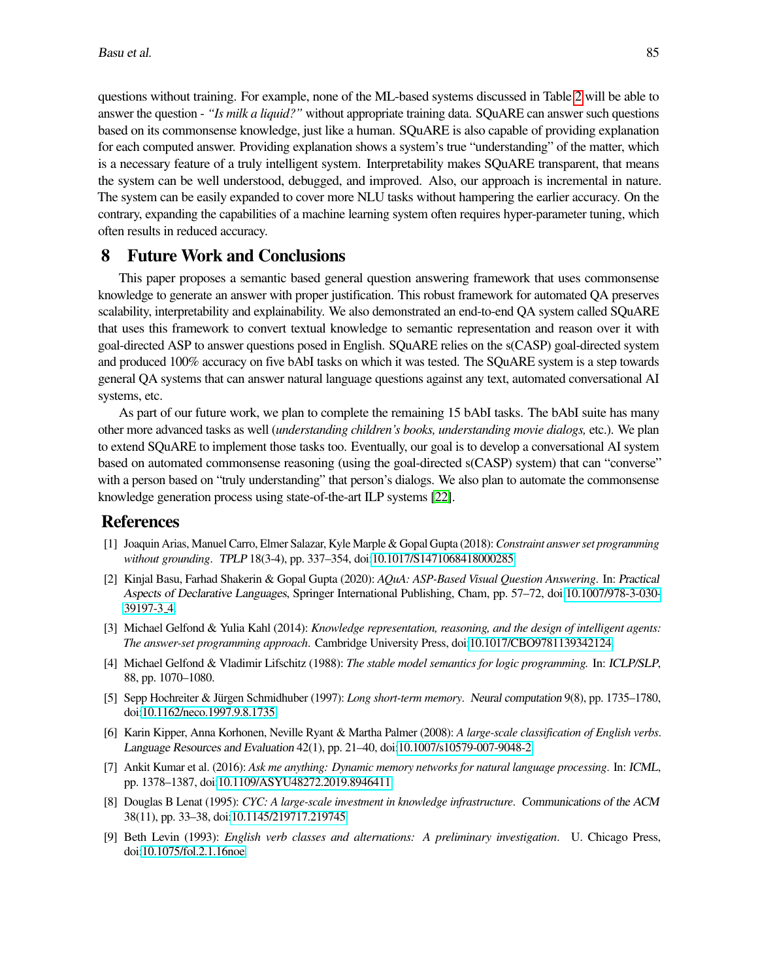questions without training. For example, none of the ML-based systems discussed in Table [2](#page-10-1) will be able to answer the question - *"Is milk a liquid?"* without appropriate training data. SQuARE can answer such questions based on its commonsense knowledge, just like a human. SQuARE is also capable of providing explanation for each computed answer. Providing explanation shows a system's true "understanding" of the matter, which is a necessary feature of a truly intelligent system. Interpretability makes SQuARE transparent, that means the system can be well understood, debugged, and improved. Also, our approach is incremental in nature. The system can be easily expanded to cover more NLU tasks without hampering the earlier accuracy. On the contrary, expanding the capabilities of a machine learning system often requires hyper-parameter tuning, which often results in reduced accuracy.

# 8 Future Work and Conclusions

This paper proposes a semantic based general question answering framework that uses commonsense knowledge to generate an answer with proper justification. This robust framework for automated QA preserves scalability, interpretability and explainability. We also demonstrated an end-to-end QA system called SQuARE that uses this framework to convert textual knowledge to semantic representation and reason over it with goal-directed ASP to answer questions posed in English. SQuARE relies on the s(CASP) goal-directed system and produced 100% accuracy on five bAbI tasks on which it was tested. The SQuARE system is a step towards general QA systems that can answer natural language questions against any text, automated conversational AI systems, etc.

As part of our future work, we plan to complete the remaining 15 bAbI tasks. The bAbI suite has many other more advanced tasks as well (*understanding children's books, understanding movie dialogs,* etc.). We plan to extend SQuARE to implement those tasks too. Eventually, our goal is to develop a conversational AI system based on automated commonsense reasoning (using the goal-directed s(CASP) system) that can "converse" with a person based on "truly understanding" that person's dialogs. We also plan to automate the commonsense knowledge generation process using state-of-the-art ILP systems [\[22\]](#page-13-15).

# References

- <span id="page-12-3"></span>[1] Joaquin Arias, Manuel Carro, Elmer Salazar, Kyle Marple & Gopal Gupta (2018):*Constraint answer set programming without grounding*. TPLP 18(3-4), pp. 337–354, doi[:10.1017/S1471068418000285.](http://dx.doi.org/10.1017/S1471068418000285)
- <span id="page-12-5"></span>[2] Kinjal Basu, Farhad Shakerin & Gopal Gupta (2020): *AQuA: ASP-Based Visual Question Answering*. In: Practical Aspects of Declarative Languages, Springer International Publishing, Cham, pp. 57–72, doi[:10.1007/978-3-030-](http://dx.doi.org/10.1007/978-3-030-39197-3_4) [39197-3](http://dx.doi.org/10.1007/978-3-030-39197-3_4) 4.
- <span id="page-12-2"></span>[3] Michael Gelfond & Yulia Kahl (2014): *Knowledge representation, reasoning, and the design of intelligent agents: The answer-set programming approach*. Cambridge University Press, doi[:10.1017/CBO9781139342124.](http://dx.doi.org/10.1017/CBO9781139342124)
- <span id="page-12-1"></span>[4] Michael Gelfond & Vladimir Lifschitz (1988): *The stable model semantics for logic programming.* In: ICLP/SLP, 88, pp. 1070–1080.
- <span id="page-12-6"></span>[5] Sepp Hochreiter & Jürgen Schmidhuber (1997): *Long short-term memory*. Neural computation 9(8), pp. 1735–1780, doi[:10.1162/neco.1997.9.8.1735.](http://dx.doi.org/10.1162/neco.1997.9.8.1735)
- <span id="page-12-0"></span>[6] Karin Kipper, Anna Korhonen, Neville Ryant & Martha Palmer (2008): *A large-scale classification of English verbs*. Language Resources and Evaluation 42(1), pp. 21–40, doi[:10.1007/s10579-007-9048-2.](http://dx.doi.org/10.1007/s10579-007-9048-2)
- <span id="page-12-7"></span>[7] Ankit Kumar et al. (2016): *Ask me anything: Dynamic memory networks for natural language processing*. In: ICML, pp. 1378–1387, doi[:10.1109/ASYU48272.2019.8946411.](http://dx.doi.org/10.1109/ASYU48272.2019.8946411)
- <span id="page-12-8"></span>[8] Douglas B Lenat (1995): *CYC: A large-scale investment in knowledge infrastructure*. Communications of the ACM 38(11), pp. 33–38, doi[:10.1145/219717.219745.](http://dx.doi.org/10.1145/219717.219745)
- <span id="page-12-4"></span>[9] Beth Levin (1993): *English verb classes and alternations: A preliminary investigation*. U. Chicago Press, doi[:10.1075/fol.2.1.16noe.](http://dx.doi.org/10.1075/fol.2.1.16noe)